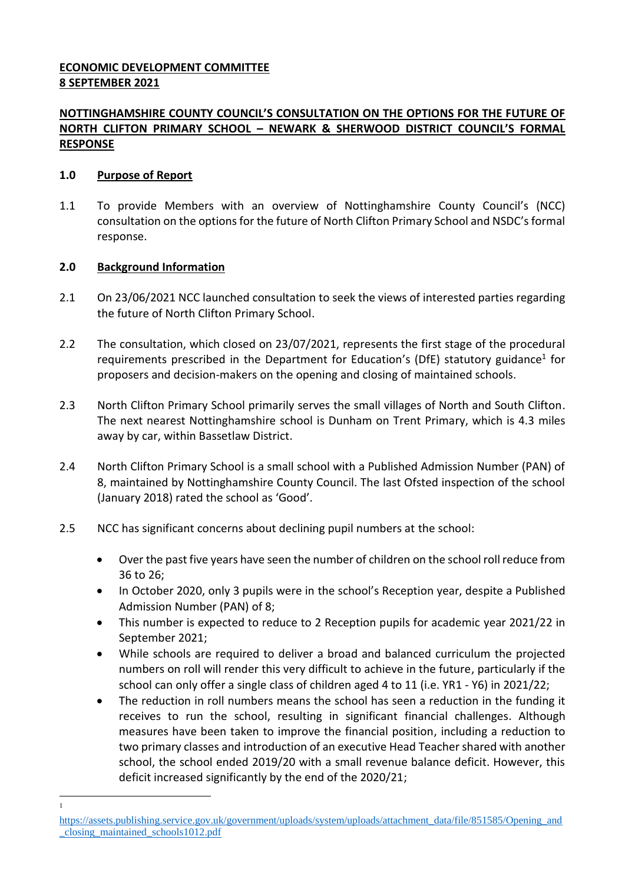# **ECONOMIC DEVELOPMENT COMMITTEE 8 SEPTEMBER 2021**

# **NOTTINGHAMSHIRE COUNTY COUNCIL'S CONSULTATION ON THE OPTIONS FOR THE FUTURE OF NORTH CLIFTON PRIMARY SCHOOL – NEWARK & SHERWOOD DISTRICT COUNCIL'S FORMAL RESPONSE**

### **1.0 Purpose of Report**

1.1 To provide Members with an overview of Nottinghamshire County Council's (NCC) consultation on the options for the future of North Clifton Primary School and NSDC's formal response.

### **2.0 Background Information**

1 1

- 2.1 On 23/06/2021 NCC launched consultation to seek the views of interested parties regarding the future of North Clifton Primary School.
- 2.2 The consultation, which closed on 23/07/2021, represents the first stage of the procedural requirements prescribed in the Department for Education's (DfE) statutory guidance<sup>1</sup> for proposers and decision-makers on the opening and closing of maintained schools.
- 2.3 North Clifton Primary School primarily serves the small villages of North and South Clifton. The next nearest Nottinghamshire school is Dunham on Trent Primary, which is 4.3 miles away by car, within Bassetlaw District.
- 2.4 North Clifton Primary School is a small school with a Published Admission Number (PAN) of 8, maintained by Nottinghamshire County Council. The last Ofsted inspection of the school (January 2018) rated the school as 'Good'.
- 2.5 NCC has significant concerns about declining pupil numbers at the school:
	- Over the past five years have seen the number of children on the school roll reduce from 36 to 26;
	- In October 2020, only 3 pupils were in the school's Reception year, despite a Published Admission Number (PAN) of 8;
	- This number is expected to reduce to 2 Reception pupils for academic year 2021/22 in September 2021;
	- While schools are required to deliver a broad and balanced curriculum the projected numbers on roll will render this very difficult to achieve in the future, particularly if the school can only offer a single class of children aged 4 to 11 (i.e. YR1 - Y6) in 2021/22;
	- The reduction in roll numbers means the school has seen a reduction in the funding it receives to run the school, resulting in significant financial challenges. Although measures have been taken to improve the financial position, including a reduction to two primary classes and introduction of an executive Head Teacher shared with another school, the school ended 2019/20 with a small revenue balance deficit. However, this deficit increased significantly by the end of the 2020/21;

[https://assets.publishing.service.gov.uk/government/uploads/system/uploads/attachment\\_data/file/851585/Opening\\_and](https://assets.publishing.service.gov.uk/government/uploads/system/uploads/attachment_data/file/851585/Opening_and_closing_maintained_schools1012.pdf) [\\_closing\\_maintained\\_schools1012.pdf](https://assets.publishing.service.gov.uk/government/uploads/system/uploads/attachment_data/file/851585/Opening_and_closing_maintained_schools1012.pdf)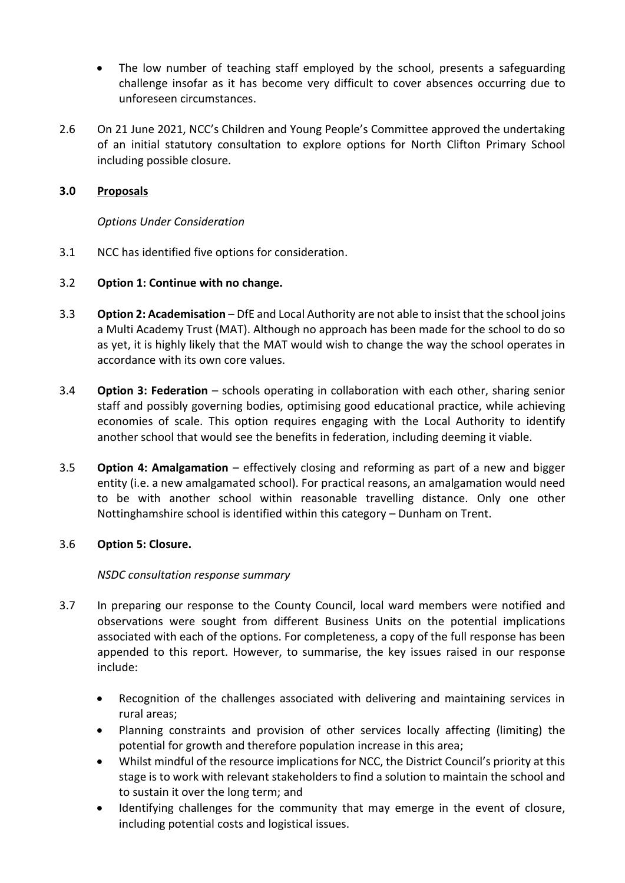- The low number of teaching staff employed by the school, presents a safeguarding challenge insofar as it has become very difficult to cover absences occurring due to unforeseen circumstances.
- 2.6 On 21 June 2021, NCC's Children and Young People's Committee approved the undertaking of an initial statutory consultation to explore options for North Clifton Primary School including possible closure.

## **3.0 Proposals**

*Options Under Consideration*

3.1 NCC has identified five options for consideration.

### 3.2 **Option 1: Continue with no change.**

- 3.3 **Option 2: Academisation** DfE and Local Authority are not able to insist that the school joins a Multi Academy Trust (MAT). Although no approach has been made for the school to do so as yet, it is highly likely that the MAT would wish to change the way the school operates in accordance with its own core values.
- 3.4 **Option 3: Federation** schools operating in collaboration with each other, sharing senior staff and possibly governing bodies, optimising good educational practice, while achieving economies of scale. This option requires engaging with the Local Authority to identify another school that would see the benefits in federation, including deeming it viable.
- 3.5 **Option 4: Amalgamation** effectively closing and reforming as part of a new and bigger entity (i.e. a new amalgamated school). For practical reasons, an amalgamation would need to be with another school within reasonable travelling distance. Only one other Nottinghamshire school is identified within this category – Dunham on Trent.

# 3.6 **Option 5: Closure.**

### *NSDC consultation response summary*

- 3.7 In preparing our response to the County Council, local ward members were notified and observations were sought from different Business Units on the potential implications associated with each of the options. For completeness, a copy of the full response has been appended to this report. However, to summarise, the key issues raised in our response include:
	- Recognition of the challenges associated with delivering and maintaining services in rural areas;
	- Planning constraints and provision of other services locally affecting (limiting) the potential for growth and therefore population increase in this area;
	- Whilst mindful of the resource implications for NCC, the District Council's priority at this stage is to work with relevant stakeholders to find a solution to maintain the school and to sustain it over the long term; and
	- Identifying challenges for the community that may emerge in the event of closure, including potential costs and logistical issues.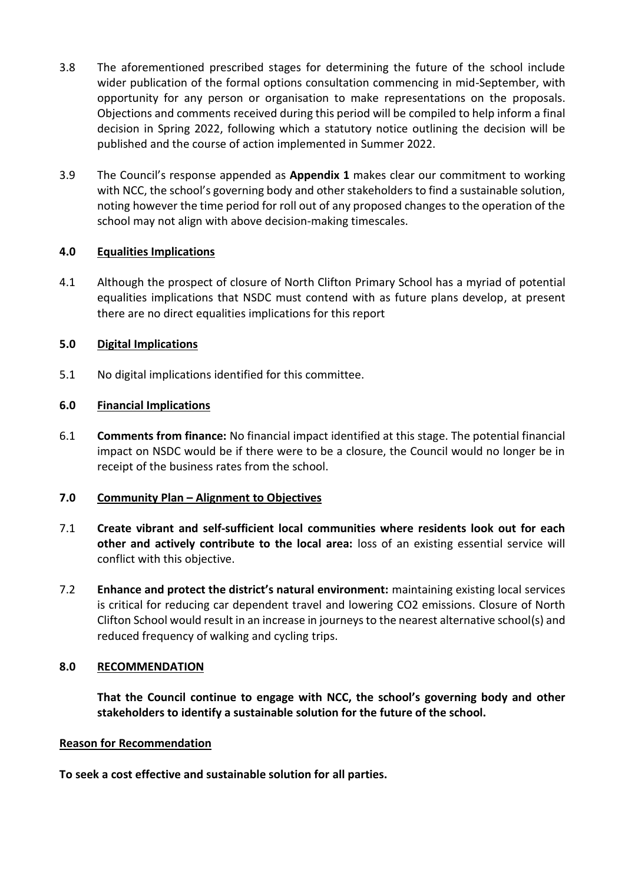- 3.8 The aforementioned prescribed stages for determining the future of the school include wider publication of the formal options consultation commencing in mid-September, with opportunity for any person or organisation to make representations on the proposals. Objections and comments received during this period will be compiled to help inform a final decision in Spring 2022, following which a statutory notice outlining the decision will be published and the course of action implemented in Summer 2022.
- 3.9 The Council's response appended as **Appendix 1** makes clear our commitment to working with NCC, the school's governing body and other stakeholders to find a sustainable solution, noting however the time period for roll out of any proposed changes to the operation of the school may not align with above decision-making timescales.

# **4.0 Equalities Implications**

4.1 Although the prospect of closure of North Clifton Primary School has a myriad of potential equalities implications that NSDC must contend with as future plans develop, at present there are no direct equalities implications for this report

### **5.0 Digital Implications**

5.1 No digital implications identified for this committee.

### **6.0 Financial Implications**

6.1 **Comments from finance:** No financial impact identified at this stage. The potential financial impact on NSDC would be if there were to be a closure, the Council would no longer be in receipt of the business rates from the school.

### **7.0 Community Plan – Alignment to Objectives**

- 7.1 **Create vibrant and self-sufficient local communities where residents look out for each other and actively contribute to the local area:** loss of an existing essential service will conflict with this objective.
- 7.2 **Enhance and protect the district's natural environment:** maintaining existing local services is critical for reducing car dependent travel and lowering CO2 emissions. Closure of North Clifton School would result in an increase in journeys to the nearest alternative school(s) and reduced frequency of walking and cycling trips.

### **8.0 RECOMMENDATION**

**That the Council continue to engage with NCC, the school's governing body and other stakeholders to identify a sustainable solution for the future of the school.**

### **Reason for Recommendation**

**To seek a cost effective and sustainable solution for all parties.**